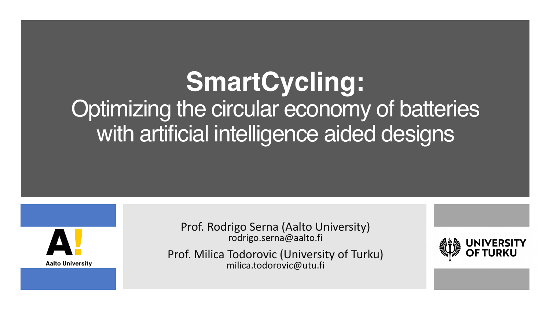## **SmartCycling:**  Optimizing the circular economy of batteries with artificial intelligence aided designs



Prof. Rodrigo Serna (Aalto University) rodrigo.serna@aalto.fi

Prof. Milica Todorovic (University of Turku) milica.todorovic@utu.fi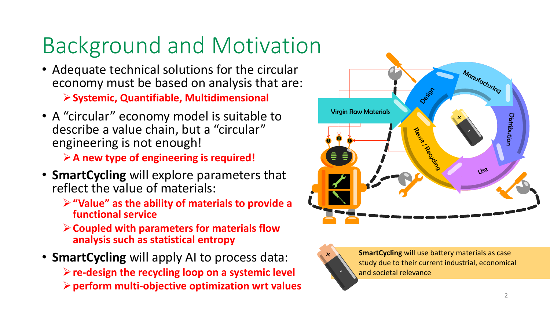## Background and Motivation

• Adequate technical solutions for the circular economy must be based on analysis that are:

Ø**Systemic, Quantifiable, Multidimensional**

• A "circular" economy model is suitable to describe a value chain, but a "circular" engineering is not enough!

Ø**A new type of engineering is required!**

- **SmartCycling** will explore parameters that reflect the value of materials:
	- Ø**"Value" as the ability of materials to provide a functional service**
	- Ø**Coupled with parameters for materials flow analysis such as statistical entropy**
- **SmartCycling** will apply AI to process data: Ø**re-design the recycling loop on a systemic level** Ø**perform multi-objective optimization wrt values**





**SmartCycling** will use battery materials as case<br>study due to their current industrial, economical study due to their current industrial, economical and societal relevance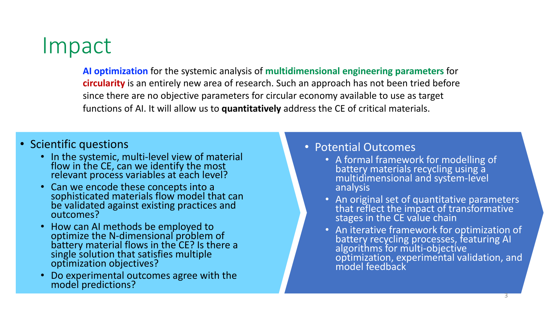## Impact

**AI optimization** for the systemic analysis of **multidimensional engineering parameters** for **circularity** is an entirely new area of research. Such an approach has not been tried before since there are no objective parameters for circular economy available to use as target functions of AI. It will allow us to **quantitatively** address the CE of critical materials.

- Scientific questions
	- In the systemic, multi-level view of material flow in the CE, can we identify the most relevant process variables at each level?
	- Can we encode these concepts into a sophisticated materials flow model that can be validated against existing practices and outcomes?
	- How can AI methods be employed to optimize the N-dimensional problem of<br>battery material flows in the CE? Is there a single solution that satisfies multiple optimization objectives?
	- Do experimental outcomes agree with the model predictions?

• Potential Outcomes

- A formal framework for modelling of battery materials recycling using  $a_1$ multidimensional and system-level analysis
- An original set of quantitative parameters that reflect the impact of transformative stages in the CE value chain
- An iterative framework for optimization of battery recycling processes, featuring AI algorithms for multi-objective optimization, experimental validation, and model feedback